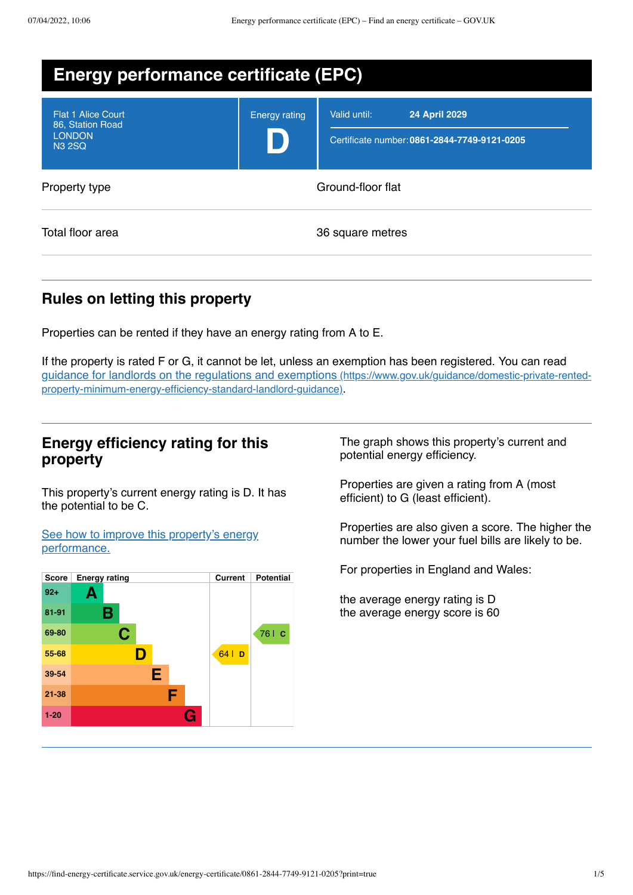| <b>Energy performance certificate (EPC)</b>                                     |                      |                                                                                      |  |
|---------------------------------------------------------------------------------|----------------------|--------------------------------------------------------------------------------------|--|
| <b>Flat 1 Alice Court</b><br>86, Station Road<br><b>LONDON</b><br><b>N3 2SQ</b> | <b>Energy rating</b> | Valid until:<br><b>24 April 2029</b><br>Certificate number: 0861-2844-7749-9121-0205 |  |
| Property type                                                                   | Ground-floor flat    |                                                                                      |  |
| Total floor area                                                                | 36 square metres     |                                                                                      |  |

# **Rules on letting this property**

Properties can be rented if they have an energy rating from A to E.

If the property is rated F or G, it cannot be let, unless an exemption has been registered. You can read guidance for landlords on the regulations and exemptions (https://www.gov.uk/guidance/domestic-private-rented[property-minimum-energy-efficiency-standard-landlord-guidance\)](https://www.gov.uk/guidance/domestic-private-rented-property-minimum-energy-efficiency-standard-landlord-guidance).

# **Energy efficiency rating for this property**

This property's current energy rating is D. It has the potential to be C.

See how to improve this property's energy [performance.](#page-2-0)



The graph shows this property's current and potential energy efficiency.

Properties are given a rating from A (most efficient) to G (least efficient).

Properties are also given a score. The higher the number the lower your fuel bills are likely to be.

For properties in England and Wales:

the average energy rating is D the average energy score is 60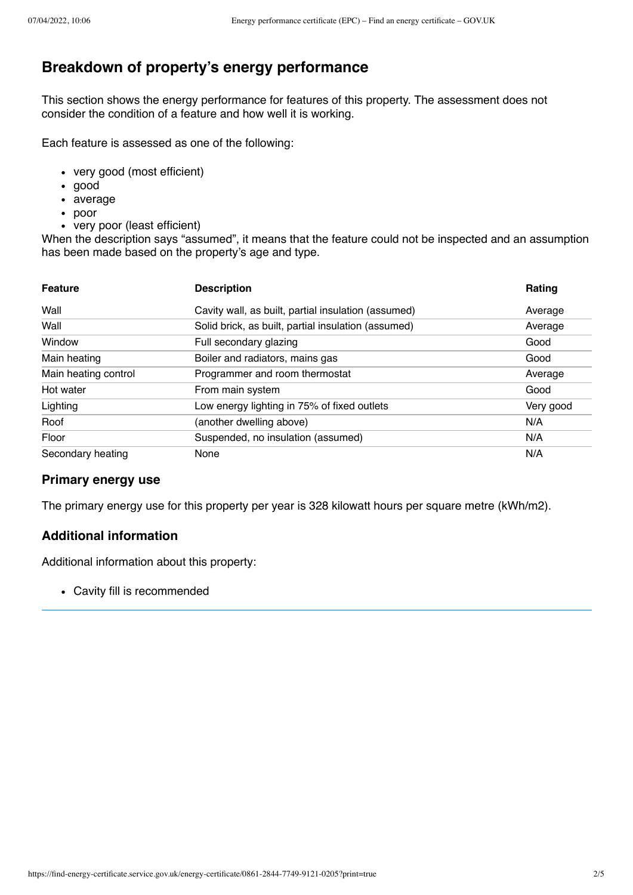# **Breakdown of property's energy performance**

This section shows the energy performance for features of this property. The assessment does not consider the condition of a feature and how well it is working.

Each feature is assessed as one of the following:

- very good (most efficient)
- good
- average
- poor
- very poor (least efficient)

When the description says "assumed", it means that the feature could not be inspected and an assumption has been made based on the property's age and type.

| <b>Feature</b>       | <b>Description</b>                                  | Rating    |
|----------------------|-----------------------------------------------------|-----------|
| Wall                 | Cavity wall, as built, partial insulation (assumed) | Average   |
| Wall                 | Solid brick, as built, partial insulation (assumed) | Average   |
| Window               | Full secondary glazing                              | Good      |
| Main heating         | Boiler and radiators, mains gas                     | Good      |
| Main heating control | Programmer and room thermostat                      | Average   |
| Hot water            | From main system                                    | Good      |
| Lighting             | Low energy lighting in 75% of fixed outlets         | Very good |
| Roof                 | (another dwelling above)                            | N/A       |
| Floor                | Suspended, no insulation (assumed)                  | N/A       |
| Secondary heating    | None                                                | N/A       |

### **Primary energy use**

The primary energy use for this property per year is 328 kilowatt hours per square metre (kWh/m2).

## **Additional information**

Additional information about this property:

Cavity fill is recommended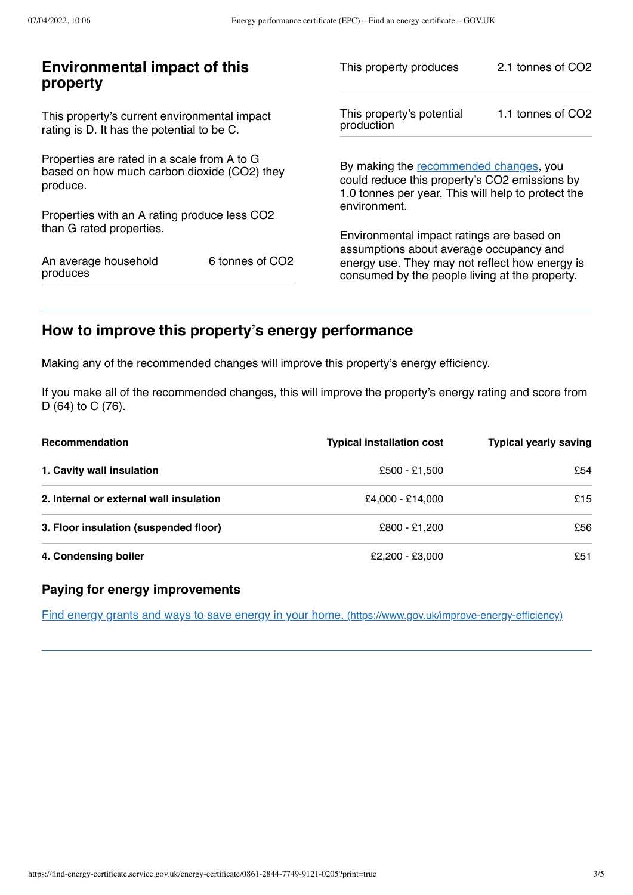| <b>Environmental impact of this</b><br>property                                                        |                 | This property produces                                                                                                                        | 2.1 tonnes of CO2 |
|--------------------------------------------------------------------------------------------------------|-----------------|-----------------------------------------------------------------------------------------------------------------------------------------------|-------------------|
| This property's current environmental impact<br>rating is D. It has the potential to be C.             |                 | This property's potential<br>production                                                                                                       | 1.1 tonnes of CO2 |
| Properties are rated in a scale from A to G<br>based on how much carbon dioxide (CO2) they<br>produce. |                 | By making the recommended changes, you<br>could reduce this property's CO2 emissions by<br>1.0 tonnes per year. This will help to protect the |                   |
| Properties with an A rating produce less CO2                                                           |                 | environment.                                                                                                                                  |                   |
| than G rated properties.                                                                               |                 | Environmental impact ratings are based on<br>assumptions about average occupancy and                                                          |                   |
| An average household<br>produces                                                                       | 6 tonnes of CO2 | energy use. They may not reflect how energy is<br>consumed by the people living at the property.                                              |                   |
|                                                                                                        |                 |                                                                                                                                               |                   |

# <span id="page-2-0"></span>**How to improve this property's energy performance**

Making any of the recommended changes will improve this property's energy efficiency.

If you make all of the recommended changes, this will improve the property's energy rating and score from D (64) to C (76).

| Recommendation                          | <b>Typical installation cost</b> | <b>Typical yearly saving</b> |
|-----------------------------------------|----------------------------------|------------------------------|
| 1. Cavity wall insulation               | £500 - £1.500                    | £54                          |
| 2. Internal or external wall insulation | £4,000 - £14,000                 | £15                          |
| 3. Floor insulation (suspended floor)   | £800 - £1.200                    | £56                          |
| 4. Condensing boiler                    | £2,200 - £3,000                  | £51                          |

## **Paying for energy improvements**

Find energy grants and ways to save energy in your home. [\(https://www.gov.uk/improve-energy-efficiency\)](https://www.gov.uk/improve-energy-efficiency)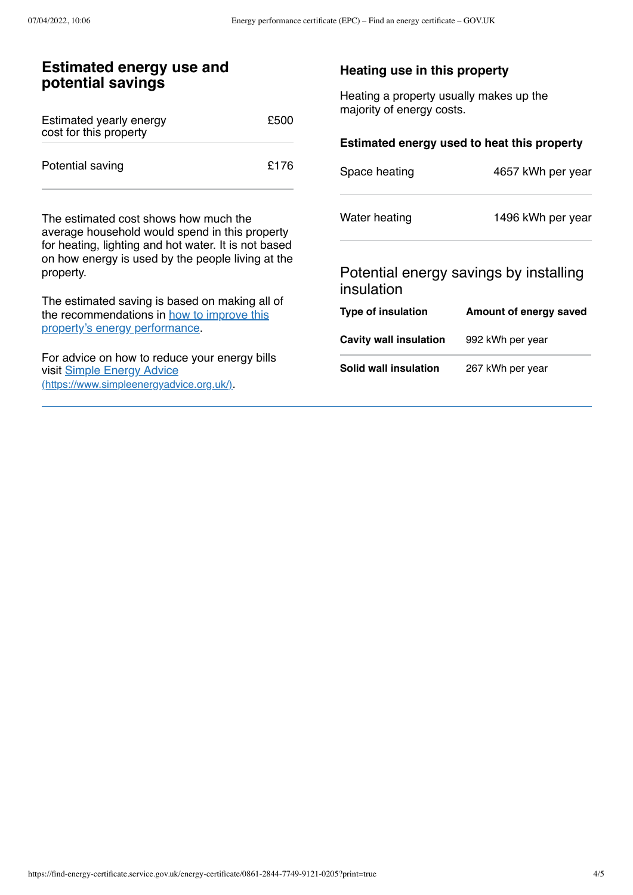| <b>Estimated energy use and</b><br>potential savings                                                                                                                                                 |      | Heating use in this property                                         |                                             |
|------------------------------------------------------------------------------------------------------------------------------------------------------------------------------------------------------|------|----------------------------------------------------------------------|---------------------------------------------|
| Estimated yearly energy<br>cost for this property                                                                                                                                                    | £500 | Heating a property usually makes up the<br>majority of energy costs. |                                             |
|                                                                                                                                                                                                      |      |                                                                      | Estimated energy used to heat this property |
| Potential saving                                                                                                                                                                                     | £176 | Space heating                                                        | 4657 kWh per year                           |
| The estimated cost shows how much the<br>average household would spend in this property<br>for heating, lighting and hot water. It is not based<br>on how energy is used by the people living at the |      | Water heating                                                        | 1496 kWh per year                           |
| property.                                                                                                                                                                                            |      | insulation                                                           | Potential energy savings by installing      |
| The estimated saving is based on making all of<br>the recommendations in how to improve this                                                                                                         |      | <b>Type of insulation</b>                                            | Amount of energy saved                      |
| property's energy performance.                                                                                                                                                                       |      | <b>Cavity wall insulation</b>                                        | 992 kWh per year                            |
| For advice on how to reduce your energy bills<br>visit Simple Energy Advice<br>(https://www.simpleenergyadvice.org.uk/).                                                                             |      | <b>Solid wall insulation</b>                                         | 267 kWh per year                            |